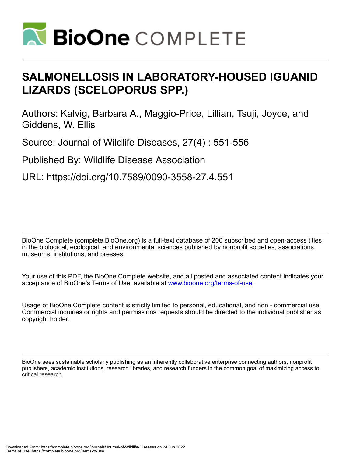

# **SALMONELLOSIS IN LABORATORY-HOUSED IGUANID LIZARDS (SCELOPORUS SPP.)**

Authors: Kalvig, Barbara A., Maggio-Price, Lillian, Tsuji, Joyce, and Giddens, W. Ellis

Source: Journal of Wildlife Diseases, 27(4) : 551-556

Published By: Wildlife Disease Association

URL: https://doi.org/10.7589/0090-3558-27.4.551

BioOne Complete (complete.BioOne.org) is a full-text database of 200 subscribed and open-access titles in the biological, ecological, and environmental sciences published by nonprofit societies, associations, museums, institutions, and presses.

Your use of this PDF, the BioOne Complete website, and all posted and associated content indicates your acceptance of BioOne's Terms of Use, available at www.bioone.org/terms-of-use.

Usage of BioOne Complete content is strictly limited to personal, educational, and non - commercial use. Commercial inquiries or rights and permissions requests should be directed to the individual publisher as copyright holder.

BioOne sees sustainable scholarly publishing as an inherently collaborative enterprise connecting authors, nonprofit publishers, academic institutions, research libraries, and research funders in the common goal of maximizing access to critical research.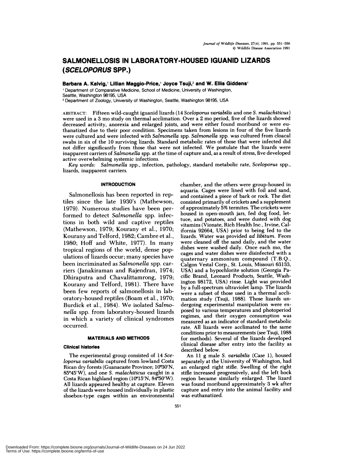## **SALMONELLOSIS IN LABORATORY-HOUSED IGUANID LIZARDS (SCELOPORUS SPP.)**

**Barbara A. Kalvig, Lillian Maggio-Price,' Joyce Tsuji,2 and W. Ellis Giddens1**

'Department of Comparative Medicine, School of Medicine, University of Washington, Seattle, Washington 98195, USA

<sup>2</sup> Department of Zoology, University of Washington, Seattle, Washington 98195, USA

ABSTRACT: Fifteen wild-caught iguanid lizards (14 *Sceloporus varlabilis* and oneS. *rnalachlticus)* were used in a 3 mo study on thermal acclimation. Over a 2 mo period, five of the lizards showed decreased activity, anorexia and enlarged joints, and were either found moribund or were euthanatized due to their poor condition. Specimens taken from lesions in four of the five lizards were cultured and were infected with *Salmonella* spp. *Salmonella* spp. was cultured from cloacal swabs in six of the 10 surviving lizards. Standard metabolic rates of those that were infected did not differ significantly from those that were not infected. We postulate that the lizards were inapparent carriers of *Salmonella* spp. at the time of capture and, as a result of stress, five developed active overwhelming systemic infections.

*Key words: Salmonella* spp., infection, pathology, standard metabolic rate, *Sceloporus* spp., lizards, inapparent carriers.

## **INTRODUCTION**

Salmonellosis has been reported in reptiles since the late 1930's (Mathewson, 1979). Numerous studies have been performed to detect *Salmonella* spp. infections in both wild and captive reptiles (Mathewson, 1979; Kourany et al., 1970; Kourany and Telford, 1982; Cambre et al., 1980; Hoff and White, 1977). In many tropical regions of the world, dense populations of lizards occur; many species have been incriminated as *Salmonella* spp. carriers (Janakiraman and Rajendran, 1974; Dhiraputra and Chavalittamrong, 1979; Kourany and Telford, 1981). There have been few reports of salmonellosis in laboratory-housed reptiles (Boam et al., 1970; Burdick et al., 1984). We isolated *Salmonella* spp. from laboratory-housed lizards in which a variety of clinical syndromes occurred.

## **MATERIALS AND METHODS**

### **Clinical histories**

The experimental group consisted of 14 *Sceloporus variabilis* captured from lowland Costa Rican dry forests (Guanacaste Province; 10°30'N, 85#{176}45'W), and one *S. malachiticus* caught in a Costa Rican highland region ( $10^{\circ}15'N$ ,  $84^{\circ}50'W$ ). All lizards appeared healthy at capture. Eleven of the lizards were housed individually in plastic shoebox-type cages within an environmental chamber, and the others were group-housed in aquaria. Cages were lined with foil and sand, and contained a piece of bark or rock. The diet consisted primarily of crickets and a supplement of approximately 5% termites. The crickets were housed in open-mouth jars, fed dog food, lettuce, and potatoes, and were dusted with dog vitamins (Vionate, Rich Health Inc., Irvine, California 92664, USA) prior to being fed to the lizards. Water was provided *ad libitum.* Feces were cleaned off the sand daily, and the water dishes were washed daily. Once each mo, the cages and water dishes were disinfected with a quaternary ammonium compound (T.B.Q., Calgon Vestal Corp., St. Louis, Missouri 63133, USA) and a hypochlorite solution (Georgia Pa cific Brand, Leonard Products, Seattle, Washington 98172, USA) rinse. Light was provided by a full-spectrum ultraviolet lamp. The lizards were a subset of those used in a thermal accli mation study (Tsuji, 1988). Those lizards un dergoing experimental manipulation were ex posed to various temperatures and photoperiod regimes, and their oxygen consumption was measured as an indicator of standard metabolic rate. All lizards were acclimated to the same conditions prior to measurements (see Tsuji, 1988 for methods). Several of the lizards developed clinical disease after entry into the facility as described below.

An 11 g male *S. variabills* (Case 1), housed separately at the University of Washington, had an enlarged right stifle. Swelling of the right stifle increased progressively, and the left hock region became similarly enlarged. The lizard was found moribund approximately 3 wk after capture and entry into the animal facility and was euthanatized.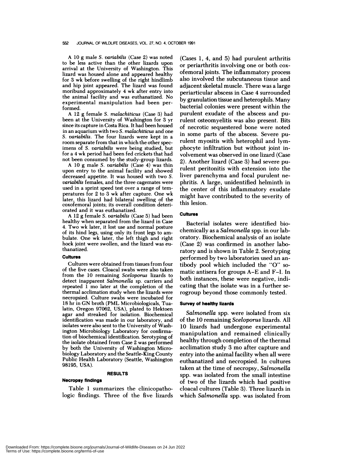#### 552 JOURNAL OF WILDLIFE DISEASES, VOL. 27, NO. 4, OCTOBER 1991

A 10 g male *S. varlabills* (Case 2) was noted to be less active than the other lizards upon arrival at the University of Washington. This lizard was housed alone and appeared healthy for 3 wk before swelling of the right hindlimb and hip joint appeared. The lizard was found moribund approximately 4 wk after entry into the animal facility and was euthanatized. No experimental manipulation had been performed.

A 12g female *S. malachiticus* (Case 3) had been at the University of Washington for 3 yr since its capture in Costa Rica. It had been housed in an aquarium with two *S.malachiticus* and one *S. varlabilia.* The four lizards were kept in a room separate from that in which the other specimens of *S. varlabills* were being studied, but for a 4 wk period had been fed crickets that had not been consumed by the study-group lizards.

A 10g male *S. variabilis* (Case 4) was thin upon entry to the animal facility and showed decreased appetite. It was housed with two *S. variabills* females, and the three cagemates were used in a sprint speed test over a range of tem peratures for 2 to 3 wk after capture. One wk later, this lizard had bilateral swelling of the coxofemoral joints; its overall condition deteri orated and it was euthanatized.

A 12g female *S. varlabilis* (Case 5) had been healthy when separated from the lizard in Case 4. Two wk later, it lost use and normal posture of its hind legs, using only its front legs to am bulate. One wk later, the left thigh and right hock joint were swollen, and the lizard was euthanatized.

## Cultures

Cultures were obtained from tissues from four of the five cases. Cloacal swabs were also taken from the 10 remaining *Sceloporus* lizards to detect inapparent *Salmonella* sp. carriers and repeated 1 mo later at the completion of the thermal acclimation study when the lizards were necropsied. Culture swabs were incubated for 18 hr in GN broth (PML Microbiologicals, Tualatin, Oregon 97062, USA), plated to Hektoen agar and streaked for isolation. Biochemical identification was made in our laboratory, and isolates were also sent to the University of Washington Microbiology Laboratory for confirmation of biochemical identification. Serotyping of the isolate obtained from Case 2 was performed by both the University of Washington Microbiology Laboratory and the Seattle-King County Public Health Laboratory (Seattle, Washington 98195, USA).

## **RESULTS**

## **Necropsy findings**

Table 1 summarizes the clinicopathologic findings. Three of the five lizards

 $(Cases 1, 4, and 5)$  had purulent arthritis or periarthritis involving one or both cox ofemoral joints. The inflammatory process also involved the subcutaneous tissue and adjacent skeletal muscle. There was a large periarticular abscess in Case 4 surrounded by granulation tissue and heterophils. Many bacterial colonies were present within the purulent exudate of the abscess and purulent osteomyelitis was also present. Bits of necrotic sequestered bone were noted in some parts of the abscess. Severe purulent myositis with heterophil and lymphocyte infiltration but without joint involvement was observed in one lizard (Case 2). Another lizard (Case 3) had severe purulent peritonitis with extension into the liver parenchyma and focal purulent ne phritis. A large, unidentified helminth in the center of this inflammatory exudate might have contributed to the severity of this lesion.

## **Cultures**

Bacterial isolates were identified biochemically as a *Salmonella* spp. in our laboratory. Biochemical analysis of an isolate (Case 2) was confirmed in another laboratory and is shown in Table 2. Serotyping performed by two laboratories used an antibody pool which included the "0" so matic antisera for groups A-E and F-I. In both instances, these were negative, indicating that the isolate was in a further serogroup beyond those commonly tested.

## **Survey of healthy lizards**

*Salmonella* spp. were isolated from six of the 10 remaining *Sceloporus* lizards. All 10 lizards had undergone experimental manipulation and remained clinically healthy through completion of the thermal acclimation study 3 mo after capture and entry into the animal facility when all were euthanatized and necropsied. In cultures taken at the time of necropsy, *Salmonella* spp. was isolated from the small intestine of two of the lizards which had positive cloacal cultures (Table 3). Three lizards in which *Salmonella* spp. was isolated from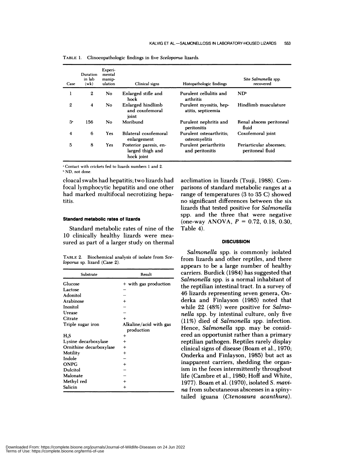| Case           | Duration<br>in lab<br>(wk) | Experi-<br>mental<br>manip-<br>ulation | Clinical signs                                           | Histopathologic findings                      | Site Salmonella spp.<br>recovered            |
|----------------|----------------------------|----------------------------------------|----------------------------------------------------------|-----------------------------------------------|----------------------------------------------|
|                | $\boldsymbol{2}$           | N <sub>o</sub>                         | Enlarged stifle and<br>hock                              | Purulent cellulitis and<br>arthritis          | $ND^b$                                       |
| $\mathbf{2}$   | $\overline{\mathbf{4}}$    | No                                     | Enlarged hindlimb<br>and coxofemoral<br>joint            | Purulent myositis, hep-<br>atitis, septicemia | Hindlimb musculature                         |
| 3 <sup>°</sup> | 156                        | No                                     | Moribund                                                 | Purulent nephritis and<br>peritonitis         | Renal abscess peritoneal<br>fluid            |
| 4              | 6                          | Yes                                    | Bilateral coxofemoral<br>enlargement                     | Purulent osteoarthritis:<br>osteomyelitis     | Coxofemoral joint                            |
| 5              | 8                          | Yes                                    | Posterior paresis, en-<br>larged thigh and<br>hock joint | Purulent periarthritis<br>and peritonitis     | Periarticular abscesses:<br>peritoneal fluid |

TABLE 1. Clinocopathologic findings in five *Sceloporus* lizards.

'Contact with crickets fed to lizards numbers 1 and 2. ND, not done.

cloacal swabs had hepatitis; two lizards had focal lymphocytic hepatitis and one other had marked multifocal necrotizing hepatitis.

## Standard metabolic **rates of lizards**

Standard metabolic rates of nine of the 10 clinically healthy lizards were mea sured as part of a larger study on thermal

TABLE 2. Biochemical analysis of isolate from *Sceloporus* sp. lizard (Case 2).

| Substrate               | Result                 |  |  |
|-------------------------|------------------------|--|--|
| Glucose                 | + with gas production  |  |  |
| Lactose                 |                        |  |  |
| Adonitol                |                        |  |  |
| Arabinose               | $\ddot{}$              |  |  |
| Inositol                |                        |  |  |
| Urease                  |                        |  |  |
| Citrate                 | $\ddot{}$              |  |  |
| Triple sugar iron       | Alkaline/acid with gas |  |  |
|                         | production             |  |  |
| H <sub>2</sub> S        | +                      |  |  |
| Lysine decarboxylase    | $\ddot{}$              |  |  |
| Ornithine decarboxylase | $\ddot{}$              |  |  |
| Motility                | $\,{}^+$               |  |  |
| Indole                  |                        |  |  |
| <b>ONPG</b>             | $\,{}^+$               |  |  |
| <b>Dulcitol</b>         |                        |  |  |
| Malonate                |                        |  |  |
| Methyl red              |                        |  |  |
| Salicin                 | $\ddot{}$              |  |  |

acclimation in lizards (Tsuji, 1988). Comparisons of standard metabolic ranges at a range of temperatures (3 to 35 C) showed no significant differences between the six lizards that tested positive for *Salmonella* spp. and the three that were negative (one-way ANOVA, *P* **<sup>=</sup>** 0.72, 0.18, 0.30, Table 4).

## **DISCUSSION**

*Salmonella* spp. is commonly isolated from lizards and other reptiles, and there appears to be a large number of healthy carriers. Burdick (1984) has suggested that *Salmonella* spp. is a normal inhabitant of the reptilian intestinal tract. In a survey of 46 lizards representing seven genera, Onderka and Finlayson (1985) noted that while 22 (48%) were positive for *Salmonella* spp. by intestinal culture, only five (11%) died of *Salmonella* spp. infection. Hence, *Salmonella* spp. may be considered an opportunist rather than a primary reptilian pathogen. Reptiles rarely display clinical signs of disease (Boam et al., 1970; Onderka and Finlayson, 1985) but act as inapparent carriers, shedding the organism in the feces intermittently throughout life (Cambre et al., 1980; Hoff and White, 1977). Boam et al.(1970), isolated *S. rnavi na* from subcutaneous abscesses in a spinytailed iguana *(Ctenosaura acanthura).*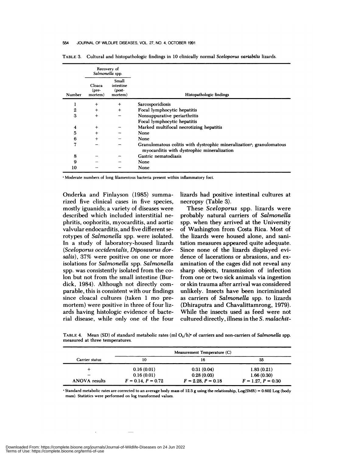#### 554 JOURNAL OF WILDLIFE DISEASES, VOL. 27, NO. 4, OCTOBER 1991

|                  |                                    | Recovery of<br>Salmonella spp.            |                                                                                                                   |
|------------------|------------------------------------|-------------------------------------------|-------------------------------------------------------------------------------------------------------------------|
| Number           | Cloaca<br>$(\text{pre}$<br>mortem) | Small<br>intestine<br>$(post-$<br>mortem) | Histopathologic findings                                                                                          |
| ı                | $^{+}$                             | $+$                                       | Sarcosporidiosis                                                                                                  |
| $\boldsymbol{2}$ | $^{+}$                             | $+$                                       | Focal lymphocytic hepatitis                                                                                       |
| 3                | $+$                                |                                           | Nonsuppurative periarthritis                                                                                      |
|                  |                                    |                                           | Focal lymphocytic hepatitis                                                                                       |
| 4                | $\ddot{}$                          |                                           | Marked multifocal necrotizing hepatitis                                                                           |
| 5                | $+$                                |                                           | None                                                                                                              |
| 6                | $+$                                |                                           | None                                                                                                              |
| 7                |                                    |                                           | Granulomatous colitis with dystrophic mineralization, granulomatous<br>myocarditis with dystrophic mineralization |
| 8                |                                    |                                           | Gastric nematodiasis                                                                                              |
| 9                |                                    |                                           | None                                                                                                              |
| 10               |                                    |                                           | None                                                                                                              |

TABLE 3. Cultural and histopathologic findings in 10 clinically normal *Sceloporus varlabills* lizards.

Moderate numbers of long filamentous bacteria present within inflammatory foci.

Onderka and Finlayson (1985) summarized five clinical cases in five species, mostly iguanids; a variety of diseases were described which included interstitial ne phritis, oophoritis, myocarditis, and aortic valvular endocarditis, and five different serotypes of *Salmonella* spp. were isolated. In a study of laboratory-housed lizards *(Sceloporus occidentalis, Diposaurus dorsalis),* 37% were positive on one or more isolations for *Salmonella* spp. *Salmonella* spp. was consistently isolated from the colon but not from the small intestine (Burdick, 1984). Although not directly com parable, this is consistent with our findings since cloacal cultures (taken 1 mo premortem) were positive in three of four lizards having histologic evidence of bacterial disease, while only one of the four lizards had positive intestinal cultures at necropsy (Table 3).

These *Sceloporus* spp. lizards were probably natural carriers of *Salmonella* spp. when they arrived at the University of Washington from Costa Rica. Most of the lizards were housed alone, and sanitation measures appeared quite adequate. Since none of the lizards displayed evidence of lacerations or abrasions, and ex amination of the cages did not reveal any sharp objects, transmission of infection from one or two sick animals via ingestion or skin trauma after arrival was considered unlikely. Insects have been incriminated as carriers of *Salmonella* spp. to lizards (Dhiraputra and Chavalittamrong, 1979). While the insects used as feed were not cultured directly, illness in the *S. malachit-*

TABLE 4. Mean (SD) of standard metabolic rates (ml O<sub>2</sub>/h)<sup>\*</sup> of carriers and non-carriers of *Salmonella* spp. measured at three temperatures.

|                      | Measurement Temperature (C) |                      |                      |  |
|----------------------|-----------------------------|----------------------|----------------------|--|
| Carrier status       | 10                          | 16                   | 35                   |  |
|                      | 0.16(0.01)                  | 0.31(0.04)           | 1.83(0.21)           |  |
| -                    | 0.16(0.01)                  | 0.28(0.03)           | 1.66(0.30)           |  |
| <b>ANOVA</b> results | $F = 0.14, P = 0.72$        | $F = 2.28, P = 0.18$ | $F = 1.27, P = 0.30$ |  |

Standard metabolic rates are corrected to an average body mass of 12.3 g using the relationship, Log(SMR) = 0.602 Log (body mass). Statistics were performed on log transformed values.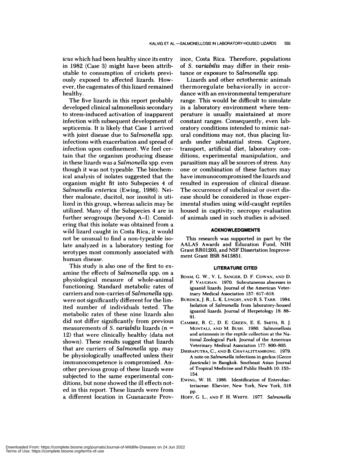*icus* which had been healthy since its entry in 1982 (Case 3) might have been attributable to consumption of crickets previously exposed to affected lizards. How ever, the cagemates of this lizard remained healthy.

The five lizards in this report probably developed clinical salmonellosis secondary to stress-induced activation of inapparent infection with subsequent development of septicemia. It is likely that Case 1 arrived with joint disease due to *Salmonella* spp. infections with exacerbation and spread of infection upon confinement. We feel certain that the organism producing disease in these lizards was a *Salmonella* spp. even though it was not typeable. The biochemical analysis of isolates suggested that the organism might fit into Subspecies 4 of *Salmonella enterica* (Ewing, 1986). Neither malonate, ducitol, nor inositol is utilized in this group, whereas salicin may be utilized. Many of the Subspecies 4 are in further serogroups (beyond A-I). Considering that this isolate was obtained from a wild lizard caught in Costa Rica, it would not be unusual to find a non-typeable isolate analyzed in a laboratory testing for serotypes most commonly associated with human disease.

This study is also one of the first to ex amine the effects of *Salmonella* spp. on a physiological measure of whole-animal functioning. Standard metabolic rates of carriers and non-carries of *Salmonella* spp. were not significantly different for the limited number of individuals tested. The metabolic rates of these nine lizards also did not differ significantly from previous measurements of *S. variabilis* lizards *(n* **<sup>=</sup>** 12) that were clinically healthy (data not shown). These results suggest that lizards that are carriers of *Salmonella* spp. may be physiologically unaffected unless their immunocompetence is compromised. Another previous group of these lizards were subjected to the same experimental con ditions, but none showed the ill effects noted in this report. These lizards were from a different location in Guanacaste Province, Costa Rica. Therefore, populations of *S. variabilis* may differ in their resistance or exposure to *Salmonella* spp.

Lizards and other ectothermic animals thermoregulate behaviorally in accor dance with an environmental temperature range. This would be difficult to simulate in a laboratory environment where temperature is usually maintained at more constant ranges. Consequently, even laboratory conditions intended to mimic natural conditions may not, thus placing lizards under substantial stress. Capture, transport, artificial diet, laboratory con ditions, experimental manipulation, and parasitism may all be sources of stress. Any one or combination of these factors may have immunocompromised the lizards and resulted in expression of clinical disease. The occurrence of subclinical or overt dis ease should be considered in those experimental studies using wild-caught reptiles housed in captivity; necropsy evaluation of animals used in such studies is advised.

## **ACKNOWLEDGMENTS**

This research was supported in part by the AALAS Awards and Education Fund, NIH Grant RR01203, and NSF Dissertation Improve ment Grant BSR 8413851.

#### **LITERATURE CITED**

- **BOAM,** G. W., V. L. SANGER, D. F. **COWAN, AND** D. P. VAUGHAN. 1970. Subcutaneous abscesses in iguanid lizards. Journal of the American Veterinary Medical Association 157: 617-618.
- BURDICK, J. R., L. K. LYNGBY, AND R. S. TARR. 1984. Isolation of *Salmonella* from laboratory-housed iguanid lizards. Journal of Herpetology 18: 88- 91.
- CAMBRE, R. C., D. E. GREEN, E. E. SMITH, R. J. **MONTALI, AND** M. BUSH. 1980. Salmonellosis and arizonosis in the reptile collection at the National Zoological Park. Journal of the American Veterinary Medical Association 177: 800-803.
- DHIRAPUTRA, C., AND B. CHAVALITTAMRONG. 1979. A note on *Salmonella* infections in geckos *(Gecco fascicula)* in Bangkok. Southeast Asian Journal of Tropical Medicine and Public Health 10: 153- 154.
- pp. EWING, W. H. 1986. Identification of Enterobacteriaceae. Elsevier, New York, New York, 318
- HOFF, G. L., **AND** F. H. WHITE. 1977. *Salmonella*